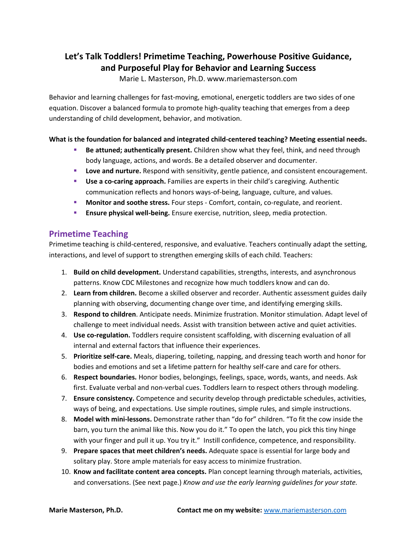# **Let's Talk Toddlers! Primetime Teaching, Powerhouse Positive Guidance, and Purposeful Play for Behavior and Learning Success**

Marie L. Masterson, Ph.D. www.mariemasterson.com

Behavior and learning challenges for fast-moving, emotional, energetic toddlers are two sides of one equation. Discover a balanced formula to promote high-quality teaching that emerges from a deep understanding of child development, behavior, and motivation.

#### **What is the foundation for balanced and integrated child-centered teaching? Meeting essential needs.**

- **Be attuned; authentically present.** Children show what they feel, think, and need through body language, actions, and words. Be a detailed observer and documenter.
- **Love and nurture.** Respond with sensitivity, gentle patience, and consistent encouragement.
- **Use a co-caring approach.** Families are experts in their child's caregiving. Authentic communication reflects and honors ways-of-being, language, culture, and values.
- **Monitor and soothe stress.** Four steps Comfort, contain, co-regulate, and reorient.
- **Ensure physical well-being.** Ensure exercise, nutrition, sleep, media protection.

#### **Primetime Teaching**

Primetime teaching is child-centered, responsive, and evaluative. Teachers continually adapt the setting, interactions, and level of support to strengthen emerging skills of each child. Teachers:

- 1. **Build on child development.** Understand capabilities, strengths, interests, and asynchronous patterns. Know CDC Milestones and recognize how much toddlers know and can do.
- 2. **Learn from children.** Become a skilled observer and recorder. Authentic assessment guides daily planning with observing, documenting change over time, and identifying emerging skills.
- 3. **Respond to children**. Anticipate needs. Minimize frustration. Monitor stimulation. Adapt level of challenge to meet individual needs. Assist with transition between active and quiet activities.
- 4. **Use co-regulation.** Toddlers require consistent scaffolding, with discerning evaluation of all internal and external factors that influence their experiences.
- 5. **Prioritize self-care.** Meals, diapering, toileting, napping, and dressing teach worth and honor for bodies and emotions and set a lifetime pattern for healthy self-care and care for others.
- 6. **Respect boundaries.** Honor bodies, belongings, feelings, space, words, wants, and needs. Ask first. Evaluate verbal and non-verbal cues. Toddlers learn to respect others through modeling.
- 7. **Ensure consistency.** Competence and security develop through predictable schedules, activities, ways of being, and expectations. Use simple routines, simple rules, and simple instructions.
- 8. **Model with mini-lessons.** Demonstrate rather than "do for" children. "To fit the cow inside the barn, you turn the animal like this. Now you do it." To open the latch, you pick this tiny hinge with your finger and pull it up. You try it." Instill confidence, competence, and responsibility.
- 9. **Prepare spaces that meet children's needs.** Adequate space is essential for large body and solitary play. Store ample materials for easy access to minimize frustration.
- 10. **Know and facilitate content area concepts.** Plan concept learning through materials, activities, and conversations. (See next page.) *Know and use the early learning guidelines for your state.*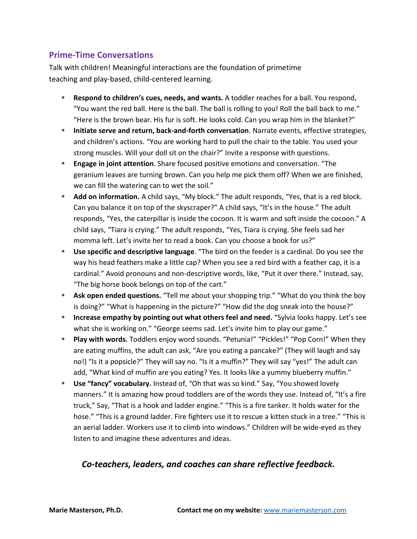### **Prime-Time Conversations**

Talk with children! Meaningful interactions are the foundation of primetime teaching and play-based, child-centered learning.

- **Respond to children's cues, needs, and wants.** A toddler reaches for a ball. You respond, "You want the red ball. Here is the ball. The ball is rolling to you! Roll the ball back to me." "Here is the brown bear. His fur is soft. He looks cold. Can you wrap him in the blanket?"
- **Initiate serve and return, back-and-forth conversation**. Narrate events, effective strategies, and children's actions. "You are working hard to pull the chair to the table. You used your strong muscles. Will your doll sit on the chair?" Invite a response with questions.
- **Engage in joint attention**. Share focused positive emotions and conversation. "The geranium leaves are turning brown. Can you help me pick them off? When we are finished, we can fill the watering can to wet the soil."
- **Add on information.** A child says, "My block." The adult responds, "Yes, that is a red block. Can you balance it on top of the skyscraper?" A child says, "It's in the house." The adult responds, "Yes, the caterpillar is inside the cocoon. It is warm and soft inside the cocoon." A child says, "Tiara is crying." The adult responds, "Yes, Tiara is crying. She feels sad her momma left. Let's invite her to read a book. Can you choose a book for us?"
- **Use specific and descriptive language**. "The bird on the feeder is a cardinal. Do you see the way his head feathers make a little cap? When you see a red bird with a feather cap, it is a cardinal." Avoid pronouns and non-descriptive words, like, "Put it over there." Instead, say, "The big horse book belongs on top of the cart."
- **Ask open ended questions.** "Tell me about your shopping trip." "What do you think the boy is doing?" "What is happening in the picture?" "How did the dog sneak into the house?"
- **Increase empathy by pointing out what others feel and need.** "Sylvia looks happy. Let's see what she is working on." "George seems sad. Let's invite him to play our game."
- **Play with words.** Toddlers enjoy word sounds. "Petunia!" "Pickles!" "Pop Corn!" When they are eating muffins, the adult can ask, "Are you eating a pancake?" (They will laugh and say no!) "Is it a popsicle?" They will say no. "Is it a muffin?" They will say "yes!" The adult can add, "What kind of muffin are you eating? Yes. It looks like a yummy blueberry muffin."
- **Use "fancy" vocabulary.** Instead of, "Oh that was so kind." Say, "You showed lovely manners." It is amazing how proud toddlers are of the words they use. Instead of, "It's a fire truck," Say, "That is a hook and ladder engine." "This is a fire tanker. It holds water for the hose." "This is a ground ladder. Fire fighters use it to rescue a kitten stuck in a tree." "This is an aerial ladder. Workers use it to climb into windows." Children will be wide-eyed as they listen to and imagine these adventures and ideas.

## *Co-teachers, leaders, and coaches can share reflective feedback.*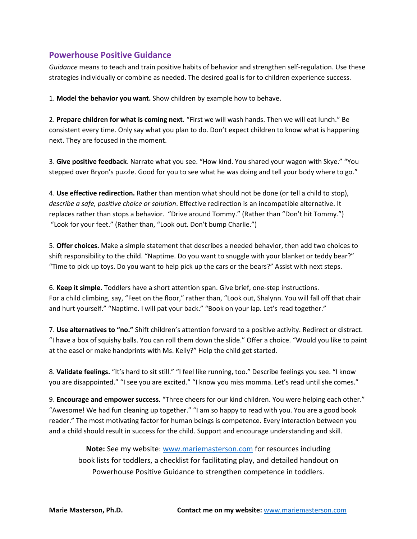#### **Powerhouse Positive Guidance**

*Guidance* means to teach and train positive habits of behavior and strengthen self-regulation. Use these strategies individually or combine as needed. The desired goal is for to children experience success.

1. **Model the behavior you want.** Show children by example how to behave.

2. **Prepare children for what is coming next.** "First we will wash hands. Then we will eat lunch." Be consistent every time. Only say what you plan to do. Don't expect children to know what is happening next. They are focused in the moment.

3. **Give positive feedback**. Narrate what you see. "How kind. You shared your wagon with Skye." "You stepped over Bryon's puzzle. Good for you to see what he was doing and tell your body where to go."

4. **Use effective redirection.** Rather than mention what should not be done (or tell a child to stop), *describe a safe, positive choice or solution*. Effective redirection is an incompatible alternative. It replaces rather than stops a behavior. "Drive around Tommy." (Rather than "Don't hit Tommy.") "Look for your feet." (Rather than, "Look out. Don't bump Charlie.")

5. **Offer choices.** Make a simple statement that describes a needed behavior, then add two choices to shift responsibility to the child. "Naptime. Do you want to snuggle with your blanket or teddy bear?" "Time to pick up toys. Do you want to help pick up the cars or the bears?" Assist with next steps.

6. **Keep it simple.** Toddlers have a short attention span. Give brief, one-step instructions. For a child climbing, say, "Feet on the floor," rather than, "Look out, Shalynn. You will fall off that chair and hurt yourself." "Naptime. I will pat your back." "Book on your lap. Let's read together."

7. **Use alternatives to "no."** Shift children's attention forward to a positive activity. Redirect or distract. "I have a box of squishy balls. You can roll them down the slide." Offer a choice. "Would you like to paint at the easel or make handprints with Ms. Kelly?" Help the child get started.

8. **Validate feelings.** "It's hard to sit still." "I feel like running, too." Describe feelings you see. "I know you are disappointed." "I see you are excited." "I know you miss momma. Let's read until she comes."

9. **Encourage and empower success.** "Three cheers for our kind children. You were helping each other." "Awesome! We had fun cleaning up together." "I am so happy to read with you. You are a good book reader." The most motivating factor for human beings is competence. Every interaction between you and a child should result in success for the child. Support and encourage understanding and skill.

**Note:** See my website: [www.mariemasterson.com](http://www.mariemasterson.com/) for resources including book lists for toddlers, a checklist for facilitating play, and detailed handout on Powerhouse Positive Guidance to strengthen competence in toddlers.